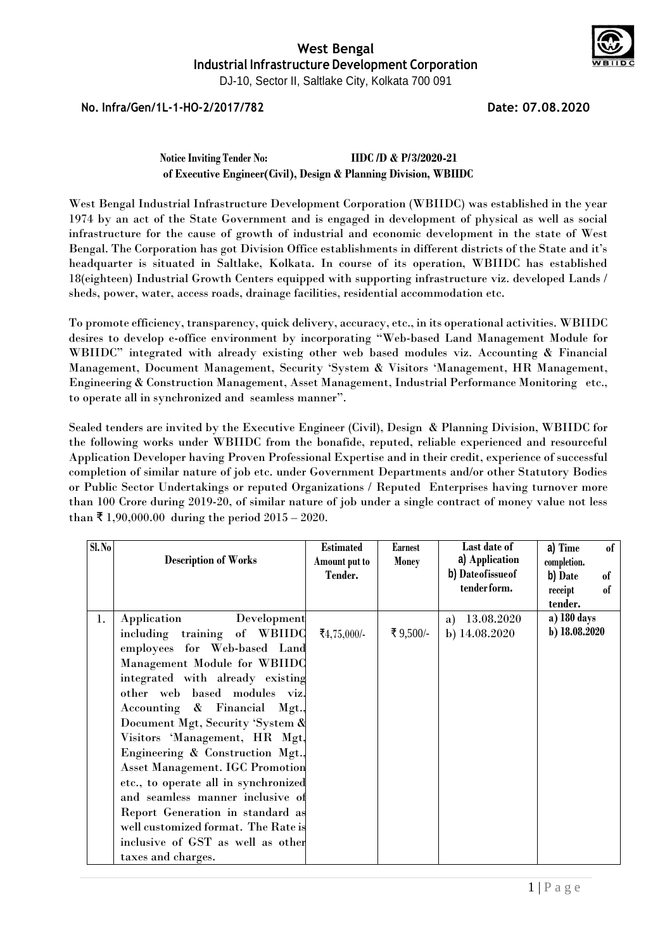

**No. Infra/Gen/1L-1-HO-2/2017/782 Date: 07.08.2020**

**Notice Inviting Tender No: IIDC /D & P/3/2020-21 of Executive Engineer(Civil), Design & Planning Division, WBIIDC**

West Bengal Industrial Infrastructure Development Corporation (WBIIDC) was established in the year 1974 by an act of the State Government and is engaged in development of physical as well as social infrastructure for the cause of growth of industrial and economic development in the state of West Bengal. The Corporation has got Division Office establishments in different districts of the State and it's headquarter is situated in Saltlake, Kolkata. In course of its operation, WBIIDC has established 18(eighteen) Industrial Growth Centers equipped with supporting infrastructure viz. developed Lands / sheds, power, water, access roads, drainage facilities, residential accommodation etc.

To promote efficiency, transparency, quick delivery, accuracy, etc., in its operational activities. WBIIDC desires to develop e-office environment by incorporating "Web-based Land Management Module for WBIIDC" integrated with already existing other web based modules viz. Accounting & Financial Management, Document Management, Security 'System & Visitors 'Management, HR Management, Engineering & Construction Management, Asset Management, Industrial Performance Monitoring etc., to operate all in synchronized and seamless manner".

Sealed tenders are invited by the Executive Engineer (Civil), Design & Planning Division, WBIIDC for the following works under WBIIDC from the bonafide, reputed, reliable experienced and resourceful Application Developer having Proven Professional Expertise and in their credit, experience of successful completion of similar nature of job etc. under Government Departments and/or other Statutory Bodies or Public Sector Undertakings or reputed Organizations / Reputed Enterprises having turnover more than 100 Crore during 2019-20, of similar nature of job under a single contract of money value not less than ₹ 1,90,000.00 during the period  $2015 - 2020$ .

| S1. No |                                        | <b>Estimated</b> | Earnest      | Last date of      | a) Time<br>of |
|--------|----------------------------------------|------------------|--------------|-------------------|---------------|
|        | <b>Description of Works</b>            | Amount put to    | <b>Money</b> | a) Application    | completion.   |
|        |                                        | Tender.          |              | b) Dateofissue of | b) Date<br>of |
|        |                                        |                  |              | tender form.      | of<br>receipt |
|        |                                        |                  |              |                   | tender.       |
| 1.     | Development<br>Application             |                  |              | 13.08.2020<br>a)  | a) 180 days   |
|        | including training of WBIIDO           | ₹4,75,000/-      | ₹9,500/-     | b) 14.08.2020     | b) 18.08.2020 |
|        | employees for Web-based Land           |                  |              |                   |               |
|        | Management Module for WBIIDO           |                  |              |                   |               |
|        | integrated with already existing       |                  |              |                   |               |
|        | other web based modules viz.           |                  |              |                   |               |
|        | Accounting & Financial Mgt.,           |                  |              |                   |               |
|        | Document Mgt, Security 'System &       |                  |              |                   |               |
|        | Visitors 'Management, HR Mgt,          |                  |              |                   |               |
|        | Engineering & Construction Mgt.,       |                  |              |                   |               |
|        | <b>Asset Management. IGC Promotion</b> |                  |              |                   |               |
|        | etc., to operate all in synchronized   |                  |              |                   |               |
|        | and seamless manner inclusive of       |                  |              |                   |               |
|        | Report Generation in standard as       |                  |              |                   |               |
|        | well customized format. The Rate is    |                  |              |                   |               |
|        | inclusive of GST as well as other      |                  |              |                   |               |
|        | taxes and charges.                     |                  |              |                   |               |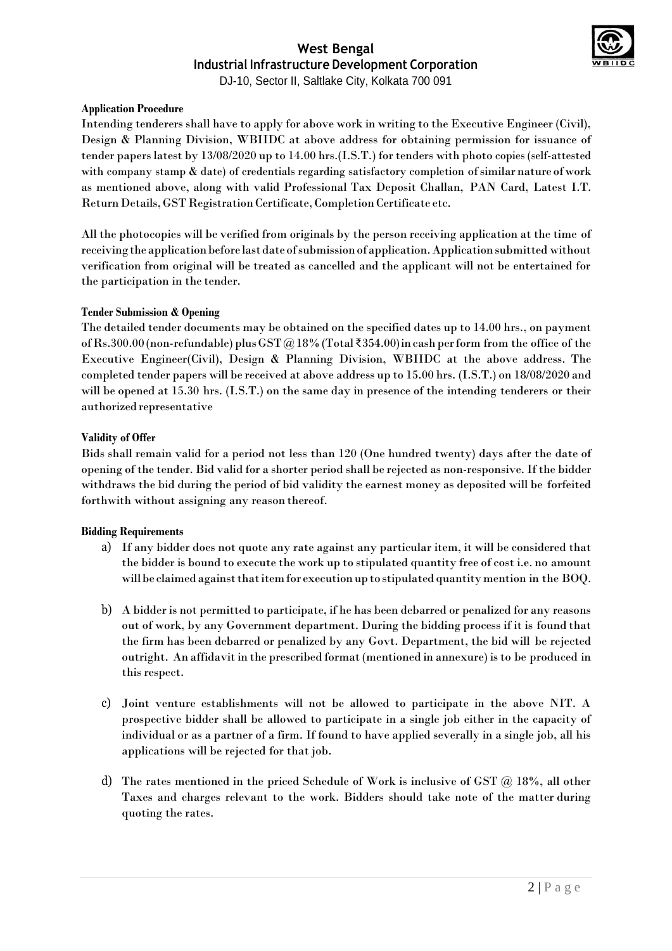

DJ-10, Sector II, Saltlake City, Kolkata 700 091

#### **Application Procedure**

Intending tenderers shall have to apply for above work in writing to the Executive Engineer (Civil), Design & Planning Division, WBIIDC at above address for obtaining permission for issuance of tender papers latest by 13/08/2020 up to 14.00 hrs.(I.S.T.) for tenders with photo copies (self-attested with company stamp & date) of credentials regarding satisfactory completion of similar nature of work as mentioned above, along with valid Professional Tax Deposit Challan, PAN Card, Latest I.T. Return Details, GST Registration Certificate, Completion Certificate etc.

All the photocopies will be verified from originals by the person receiving application at the time of receiving the application before last date of submission of application. Application submitted without verification from original will be treated as cancelled and the applicant will not be entertained for the participation in the tender.

#### **Tender Submission & Opening**

The detailed tender documents may be obtained on the specified dates up to 14.00 hrs., on payment of Rs.300.00 (non-refundable) plus GST @18% (Total ₹354.00) in cash per form from the office of the Executive Engineer(Civil), Design & Planning Division, WBIIDC at the above address. The completed tender papers will be received at above address up to 15.00 hrs. (I.S.T.) on 18/08/2020 and will be opened at 15.30 hrs. (I.S.T.) on the same day in presence of the intending tenderers or their authorized representative

#### **Validity of Offer**

Bids shall remain valid for a period not less than 120 (One hundred twenty) days after the date of opening of the tender. Bid valid for a shorter period shall be rejected as non-responsive. If the bidder withdraws the bid during the period of bid validity the earnest money as deposited will be forfeited forthwith without assigning any reason thereof.

#### **Bidding Requirements**

- a) If any bidder does not quote any rate against any particular item, it will be considered that the bidder is bound to execute the work up to stipulated quantity free of cost i.e. no amount will be claimed against that item for execution up to stipulated quantity mention in the BOQ.
- b) A bidder is not permitted to participate, if he has been debarred or penalized for any reasons out of work, by any Government department. During the bidding process if it is found that the firm has been debarred or penalized by any Govt. Department, the bid will be rejected outright. An affidavitin the prescribed format(mentioned in annexure) isto be produced in this respect.
- c) Joint venture establishments will not be allowed to participate in the above NIT. A prospective bidder shall be allowed to participate in a single job either in the capacity of individual or as a partner of a firm. If found to have applied severally in a single job, all his applications will be rejected for that job.
- d) The rates mentioned in the priced Schedule of Work is inclusive of GST @ 18%, all other Taxes and charges relevant to the work. Bidders should take note of the matter during quoting the rates.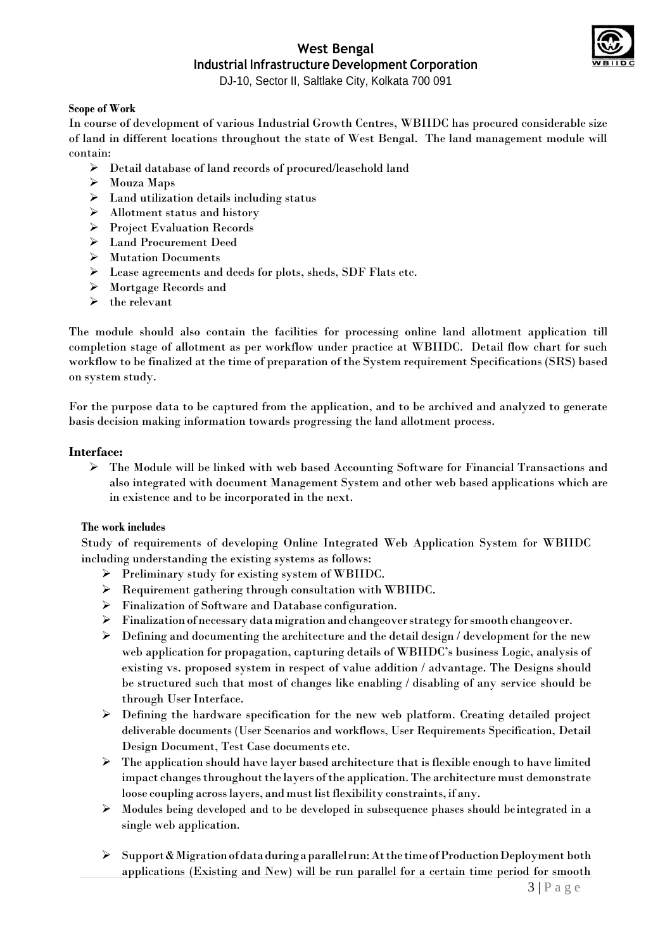

DJ-10, Sector II, Saltlake City, Kolkata 700 091

### **Scope of Work**

In course of development of various Industrial Growth Centres, WBIIDC has procured considerable size of land in different locations throughout the state of West Bengal. The land management module will contain:

- Detail database of land records of procured/leasehold land
- Mouza Maps
- $\triangleright$  Land utilization details including status
- Allotment status and history
- Project Evaluation Records
- Land Procurement Deed
- Mutation Documents
- Lease agreements and deeds for plots, sheds, SDF Flats etc.
- Mortgage Records and
- $\triangleright$  the relevant

The module should also contain the facilities for processing online land allotment application till completion stage of allotment as per workflow under practice at WBIIDC. Detail flow chart for such workflow to be finalized at the time of preparation of the System requirement Specifications (SRS) based on system study.

For the purpose data to be captured from the application, and to be archived and analyzed to generate basis decision making information towards progressing the land allotment process.

#### **Interface:**

 The Module will be linked with web based Accounting Software for Financial Transactions and also integrated with document Management System and other web based applications which are in existence and to be incorporated in the next.

#### **The work includes**

Study of requirements of developing Online Integrated Web Application System for WBIIDC including understanding the existing systems as follows:

- Preliminary study for existing system of WBIIDC.
- Requirement gathering through consultation with WBIIDC.
- Finalization of Software and Database configuration.
- Finalization ofnecessarydatamigration and changeoverstrategy forsmooth changeover.
- $\triangleright$  Defining and documenting the architecture and the detail design / development for the new web application for propagation, capturing details of WBIIDC's business Logic, analysis of existing vs. proposed system in respect of value addition / advantage. The Designs should be structured such that most of changes like enabling / disabling of any service should be through User Interface.
- $\triangleright$  Defining the hardware specification for the new web platform. Creating detailed project deliverable documents (User Scenarios and workflows, User Requirements Specification, Detail Design Document, Test Case documents etc.
- $\triangleright$  The application should have layer based architecture that is flexible enough to have limited impact changes throughout the layers of the application. The architecture must demonstrate loose coupling across layers, and must list flexibility constraints, if any.
- $\triangleright$  Modules being developed and to be developed in subsequence phases should be integrated in a single web application.
- $\triangleright$  Support & Migration of data during a parallel run: At the time of Production Deployment both applications (Existing and New) will be run parallel for a certain time period for smooth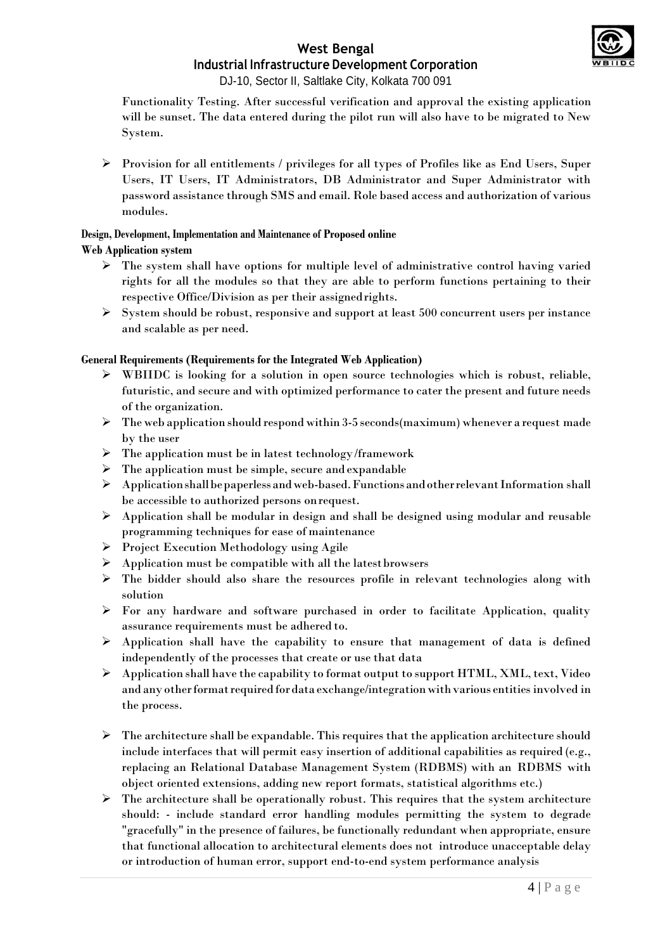

DJ-10, Sector II, Saltlake City, Kolkata 700 091

Functionality Testing. After successful verification and approval the existing application will be sunset. The data entered during the pilot run will also have to be migrated to New System.

 $\triangleright$  Provision for all entitlements / privileges for all types of Profiles like as End Users, Super Users, IT Users, IT Administrators, DB Administrator and Super Administrator with password assistance through SMS and email. Role based access and authorization of various modules.

# **Design, Development, Implementation and Maintenance of Proposed online**

#### **Web Application system**

- $\triangleright$  The system shall have options for multiple level of administrative control having varied rights for all the modules so that they are able to perform functions pertaining to their respective Office/Division as per their assignedrights.
- $\triangleright$  System should be robust, responsive and support at least 500 concurrent users per instance and scalable as per need.

#### **General Requirements (Requirements for the Integrated Web Application)**

- $\triangleright$  WBIIDC is looking for a solution in open source technologies which is robust, reliable, futuristic, and secure and with optimized performance to cater the present and future needs of the organization.
- $\triangleright$  The web application should respond within 3-5 seconds (maximum) whenever a request made by the user
- $\triangleright$  The application must be in latest technology/framework
- $\triangleright$  The application must be simple, secure and expandable
- $\triangleright$  Application shall be paperless and web-based. Functions and other relevant Information shall be accessible to authorized persons onrequest.
- $\triangleright$  Application shall be modular in design and shall be designed using modular and reusable programming techniques for ease of maintenance
- $\triangleright$  Project Execution Methodology using Agile
- $\triangleright$  Application must be compatible with all the latest browsers
- $\triangleright$  The bidder should also share the resources profile in relevant technologies along with solution
- $\triangleright$  For any hardware and software purchased in order to facilitate Application, quality assurance requirements must be adhered to.
- $\triangleright$  Application shall have the capability to ensure that management of data is defined independently of the processes that create or use that data
- $\triangleright$  Application shall have the capability to format output to support HTML, XML, text, Video and any other format required for data exchange/integration with various entities involved in the process.
- $\triangleright$  The architecture shall be expandable. This requires that the application architecture should include interfaces that will permit easy insertion of additional capabilities as required (e.g., replacing an Relational Database Management System (RDBMS) with an RDBMS with object oriented extensions, adding new report formats, statistical algorithms etc.)
- $\triangleright$  The architecture shall be operationally robust. This requires that the system architecture should: - include standard error handling modules permitting the system to degrade "gracefully" in the presence of failures, be functionally redundant when appropriate, ensure that functional allocation to architectural elements does not introduce unacceptable delay or introduction of human error, support end-to-end system performance analysis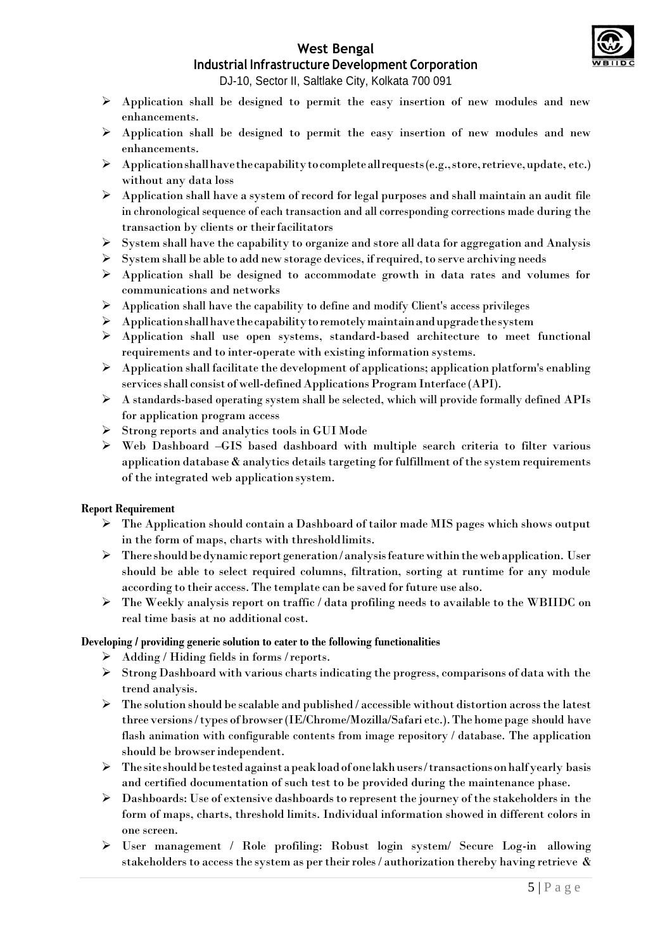# **West Bengal**



# **Industrial Infrastructure Development Corporation**

DJ-10, Sector II, Saltlake City, Kolkata 700 091

- $\triangleright$  Application shall be designed to permit the easy insertion of new modules and new enhancements.
- $\triangleright$  Application shall be designed to permit the easy insertion of new modules and new enhancements.
- $\triangleright$  Application shall have the capability to complete all requests (e.g., store, retrieve, update, etc.) without any data loss
- $\triangleright$  Application shall have a system of record for legal purposes and shall maintain an audit file in chronological sequence of each transaction and all corresponding corrections made during the transaction by clients or theirfacilitators
- $\triangleright$  System shall have the capability to organize and store all data for aggregation and Analysis
- $\triangleright$  System shall be able to add new storage devices, if required, to serve archiving needs
- $\triangleright$  Application shall be designed to accommodate growth in data rates and volumes for communications and networks
- $\triangleright$  Application shall have the capability to define and modify Client's access privileges
- $\triangleright$  Application shall have the capability to remotely maintain and upgrade the system
- Application shall use open systems, standard-based architecture to meet functional requirements and to inter-operate with existing information systems.
- $\triangleright$  Application shall facilitate the development of applications; application platform's enabling services shall consist of well-defined Applications Program Interface (API).
- $\triangleright$  A standards-based operating system shall be selected, which will provide formally defined APIs for application program access
- $\triangleright$  Strong reports and analytics tools in GUI Mode
- Web Dashboard –GIS based dashboard with multiple search criteria to filter various application database  $\&$  analytics details targeting for fulfillment of the system requirements of the integrated web applicationsystem.

#### **Report Requirement**

- The Application should contain a Dashboard of tailor made MIS pages which shows output in the form of maps, charts with thresholdlimits.
- $\triangleright$  There should be dynamic report generation/analysis feature within the web application. User should be able to select required columns, filtration, sorting at runtime for any module according to their access. The template can be saved for future use also.
- The Weekly analysis report on traffic / data profiling needs to available to the WBIIDC on real time basis at no additional cost.

#### **Developing / providing generic solution to cater to the following functionalities**

- $\triangleright$  Adding / Hiding fields in forms / reports.
- $\triangleright$  Strong Dashboard with various charts indicating the progress, comparisons of data with the trend analysis.
- $\triangleright$  The solution should be scalable and published / accessible without distortion across the latest three versions/types of browser(IE/Chrome/Mozilla/Safari etc.).The home page should have flash animation with configurable contents from image repository / database. The application should be browserindependent.
- $\triangleright$  The site should be tested against a peak load of one lakh users/transactions on half yearly basis and certified documentation of such test to be provided during the maintenance phase.
- $\triangleright$  Dashboards: Use of extensive dashboards to represent the journey of the stakeholders in the form of maps, charts, threshold limits. Individual information showed in different colors in one screen.
- User management / Role profiling: Robust login system/ Secure Log-in allowing stakeholders to access the system as per their roles / authorization thereby having retrieve  $\&$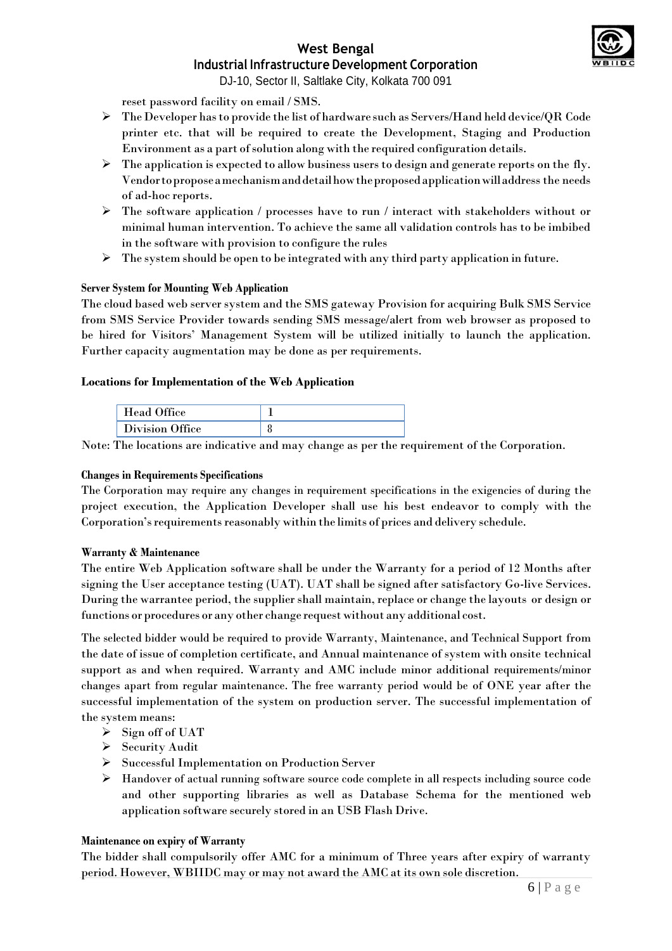DJ-10, Sector II, Saltlake City, Kolkata 700 091

reset password facility on email / SMS.

- The Developer hasto provide the list of hardware such as Servers/Hand held device/QR Code printer etc. that will be required to create the Development, Staging and Production Environment as a part of solution along with the required configuration details.
- $\triangleright$  The application is expected to allow business users to design and generate reports on the fly. Vendortoproposeamechanismanddetailhowtheproposedapplicationwilladdress the needs of ad-hoc reports.
- $\triangleright$  The software application / processes have to run / interact with stakeholders without or minimal human intervention. To achieve the same all validation controls has to be imbibed in the software with provision to configure the rules
- $\triangleright$  The system should be open to be integrated with any third party application in future.

#### **Server System for Mounting Web Application**

The cloud based web server system and the SMS gateway Provision for acquiring Bulk SMS Service from SMS Service Provider towards sending SMS message/alert from web browser as proposed to be hired for Visitors' Management System will be utilized initially to launch the application. Further capacity augmentation may be done as per requirements.

#### **Locations for Implementation of the Web Application**

| <b>Head Office</b> |  |
|--------------------|--|
| Division Office    |  |

Note: The locations are indicative and may change as per the requirement of the Corporation.

#### **Changes in Requirements Specifications**

The Corporation may require any changes in requirement specifications in the exigencies of during the project execution, the Application Developer shall use his best endeavor to comply with the Corporation's requirements reasonably within the limits of prices and delivery schedule.

#### **Warranty & Maintenance**

The entire Web Application software shall be under the Warranty for a period of 12 Months after signing the User acceptance testing (UAT). UAT shall be signed after satisfactory Go-live Services. During the warrantee period, the supplier shall maintain, replace or change the layouts or design or functions or procedures or any other change request without any additional cost.

The selected bidder would be required to provide Warranty, Maintenance, and Technical Support from the date of issue of completion certificate, and Annual maintenance of system with onsite technical support as and when required. Warranty and AMC include minor additional requirements/minor changes apart from regular maintenance. The free warranty period would be of ONE year after the successful implementation of the system on production server. The successful implementation of the system means:

- $\triangleright$  Sign off of UAT
- $\triangleright$  Security Audit
- Successful Implementation on Production Server
- $\triangleright$  Handover of actual running software source code complete in all respects including source code and other supporting libraries as well as Database Schema for the mentioned web application software securely stored in an USB Flash Drive.

#### **Maintenance on expiry of Warranty**

The bidder shall compulsorily offer AMC for a minimum of Three years after expiry of warranty period. However, WBIIDC may or may not award the AMC at its own sole discretion.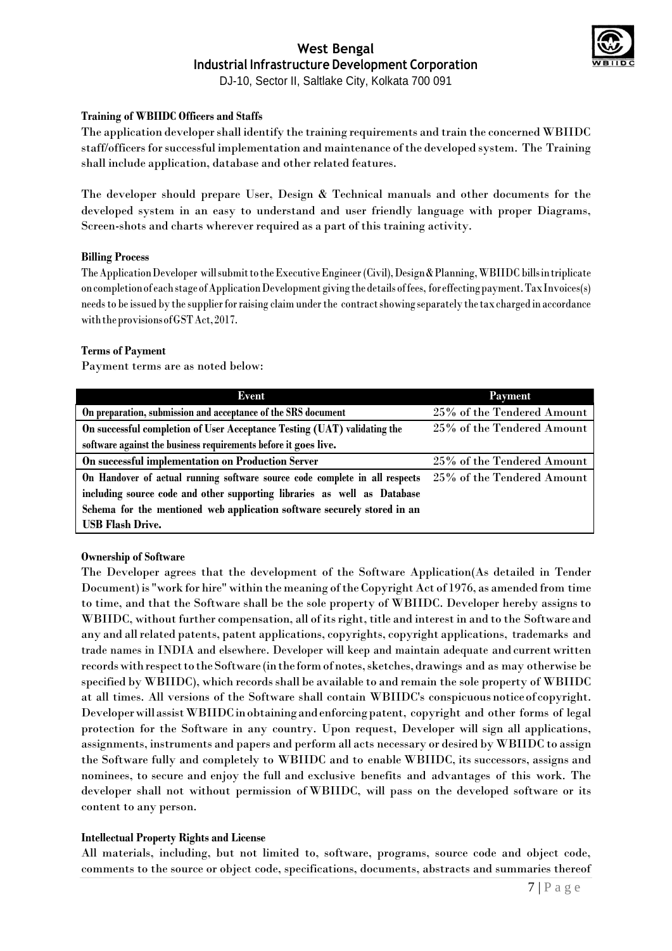

DJ-10, Sector II, Saltlake City, Kolkata 700 091

#### **Training of WBIIDC Officers and Staffs**

The application developer shall identify the training requirements and train the concerned WBIIDC staff/officers for successful implementation and maintenance of the developed system. The Training shall include application, database and other related features.

The developer should prepare User, Design & Technical manuals and other documents for the developed system in an easy to understand and user friendly language with proper Diagrams, Screen-shots and charts wherever required as a part of this training activity.

#### **Billing Process**

TheApplicationDeveloper willsubmittotheExecutiveEngineer (Civil),Design&Planning,WBIIDC billsintriplicate oncompletionof eachstageofApplicationDevelopment giving the details offees, foreffectingpayment.TaxInvoices(s) needsto be issued by the supplierforraising claim underthe contractshowing separately the taxcharged in accordance withtheprovisionsofGSTAct,2017.

#### **Terms of Payment**

Payment terms are as noted below:

| <b>Event</b>                                                                | <b>Payment</b>             |  |
|-----------------------------------------------------------------------------|----------------------------|--|
| On preparation, submission and acceptance of the SRS document               | 25% of the Tendered Amount |  |
| On successful completion of User Acceptance Testing (UAT) validating the    | 25% of the Tendered Amount |  |
| software against the business requirements before it goes live.             |                            |  |
| On successful implementation on Production Server                           | 25% of the Tendered Amount |  |
| On Handover of actual running software source code complete in all respects | 25% of the Tendered Amount |  |
| including source code and other supporting libraries as well as Database    |                            |  |
| Schema for the mentioned web application software securely stored in an     |                            |  |
| <b>USB Flash Drive.</b>                                                     |                            |  |

#### **Ownership of Software**

The Developer agrees that the development of the Software Application(As detailed in Tender Document) is "work for hire" within the meaning of the Copyright Act of 1976, as amended from time to time, and that the Software shall be the sole property of WBIIDC. Developer hereby assigns to WBIIDC, without further compensation, all of its right, title and interest in and to the Software and any and allrelated patents, patent applications, copyrights, copyright applications, trademarks and trade names in INDIA and elsewhere. Developer will keep and maintain adequate and current written records with respect to the Software (in the form of notes, sketches, drawings and as may otherwise be specified by WBIIDC), which records shall be available to and remain the sole property of WBIIDC at all times. All versions of the Software shall contain WBIIDC's conspicuous noticeof copyright. DeveloperwillassistWBIIDCinobtainingandenforcingpatent, copyright and other forms of legal protection for the Software in any country. Upon request, Developer will sign all applications, assignments, instruments and papers and perform all acts necessary or desired by WBIIDC to assign the Software fully and completely to WBIIDC and to enable WBIIDC, its successors, assigns and nominees, to secure and enjoy the full and exclusive benefits and advantages of this work. The developer shall not without permission of WBIIDC, will pass on the developed software or its content to any person.

#### **Intellectual Property Rights and License**

All materials, including, but not limited to, software, programs, source code and object code, comments to the source or object code, specifications, documents, abstracts and summaries thereof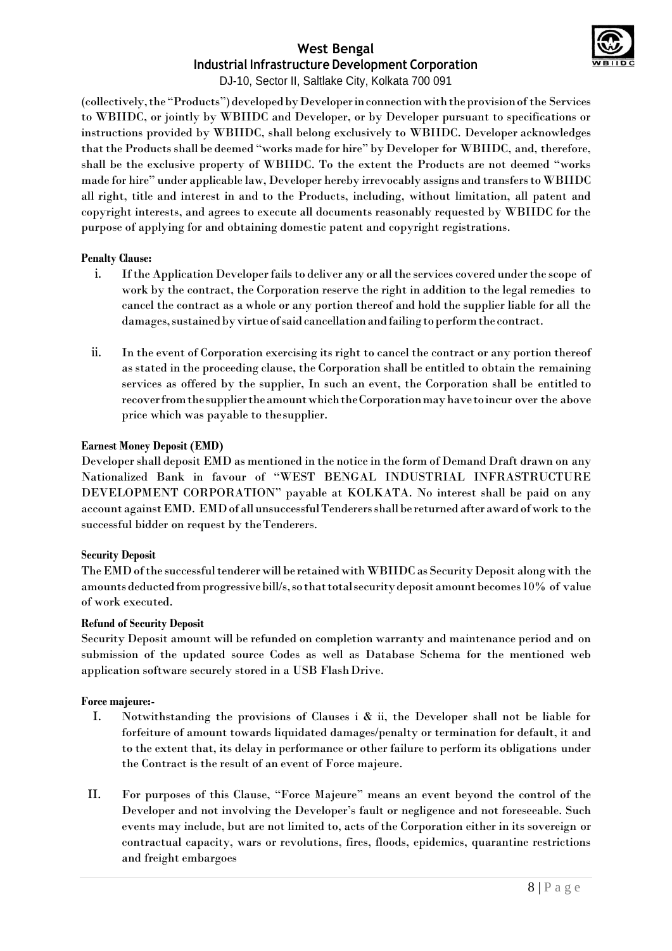

DJ-10, Sector II, Saltlake City, Kolkata 700 091

(collectively, the "Products") developed by Developer in connection with the provision of the Services to WBIIDC, or jointly by WBIIDC and Developer, or by Developer pursuant to specifications or instructions provided by WBIIDC, shall belong exclusively to WBIIDC. Developer acknowledges that the Products shall be deemed "works made for hire" by Developer for WBIIDC, and, therefore, shall be the exclusive property of WBIIDC. To the extent the Products are not deemed "works made for hire" under applicable law, Developer hereby irrevocably assigns and transfersto WBIIDC all right, title and interest in and to the Products, including, without limitation, all patent and copyright interests, and agrees to execute all documents reasonably requested by WBIIDC for the purpose of applying for and obtaining domestic patent and copyright registrations.

#### **Penalty Clause:**

- i. If the Application Developer fails to deliver any or all the services covered under the scope of work by the contract, the Corporation reserve the right in addition to the legal remedies to cancel the contract as a whole or any portion thereof and hold the supplier liable for all the damages, sustained by virtue of said cancellation and failing to perform the contract.
- ii. In the event of Corporation exercising its right to cancel the contract or any portion thereof as stated in the proceeding clause, the Corporation shall be entitled to obtain the remaining services as offered by the supplier, In such an event, the Corporation shall be entitled to recoverfromthesuppliertheamountwhichtheCorporationmayhavetoincur over the above price which was payable to thesupplier.

#### **Earnest Money Deposit (EMD)**

Developershall deposit EMD as mentioned in the notice in the form of Demand Draft drawn on any Nationalized Bank in favour of "WEST BENGAL INDUSTRIAL INFRASTRUCTURE DEVELOPMENT CORPORATION" payable at KOLKATA. No interest shall be paid on any account againstEMD. EMDof all unsuccessfulTenderersshallbe returned after award of work to the successful bidder on request by theTenderers.

#### **Security Deposit**

The EMD of the successful tenderer will be retained with WBIIDC as Security Deposit along with the amounts deducted from progressive bill/s, so that total security deposit amount becomes 10% of value of work executed.

#### **Refund of Security Deposit**

Security Deposit amount will be refunded on completion warranty and maintenance period and on submission of the updated source Codes as well as Database Schema for the mentioned web application software securely stored in a USB FlashDrive.

#### **Force majeure:-**

- I. Notwithstanding the provisions of Clauses i & ii, the Developer shall not be liable for forfeiture of amount towards liquidated damages/penalty or termination for default, it and to the extent that, its delay in performance or other failure to perform its obligations under the Contract is the result of an event of Force majeure.
- II. For purposes of this Clause, "Force Majeure" means an event beyond the control of the Developer and not involving the Developer's fault or negligence and not foreseeable. Such events may include, but are not limited to, acts of the Corporation either in its sovereign or contractual capacity, wars or revolutions, fires, floods, epidemics, quarantine restrictions and freight embargoes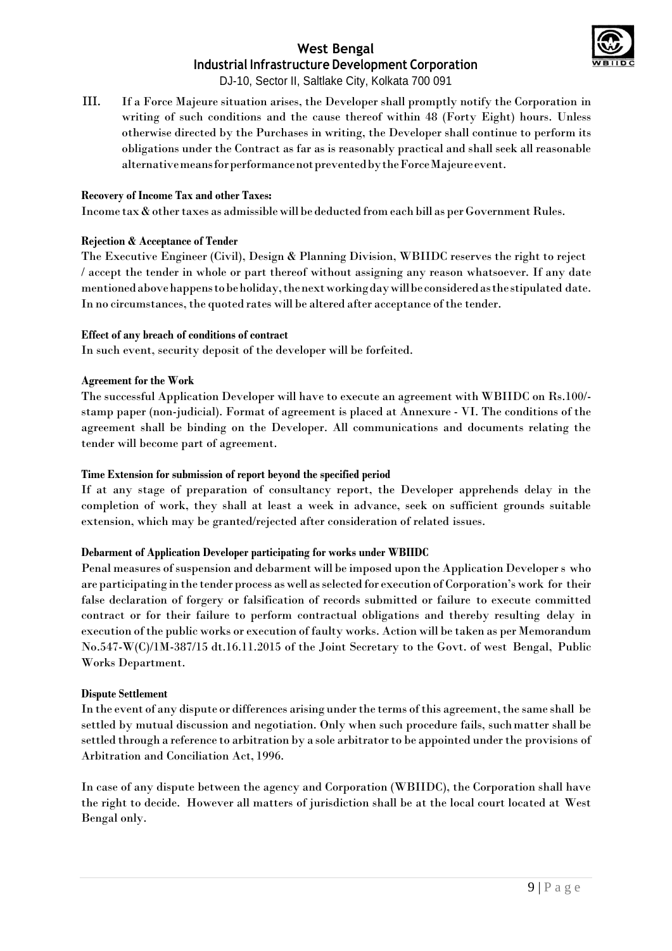

DJ-10, Sector II, Saltlake City, Kolkata 700 091

III. If a Force Majeure situation arises, the Developer shall promptly notify the Corporation in writing of such conditions and the cause thereof within 48 (Forty Eight) hours. Unless otherwise directed by the Purchases in writing, the Developer shall continue to perform its obligations under the Contract as far as is reasonably practical and shall seek all reasonable alternativemeansforperformancenotpreventedbytheForceMajeureevent.

#### **Recovery of Income Tax and other Taxes:**

Income  $\tan x$  & other taxes as admissible will be deducted from each bill as per Government Rules.

#### **Rejection & Acceptance of Tender**

The Executive Engineer (Civil), Design & Planning Division, WBIIDC reserves the right to reject / accept the tender in whole or part thereof without assigning any reason whatsoever. If any date mentionedabovehappenstobeholiday,thenextworkingdaywillbeconsideredasthe stipulated date. In no circumstances, the quoted rates will be altered after acceptance of the tender.

#### **Effect of any breach of conditions of contract**

In such event, security deposit of the developer will be forfeited.

#### **Agreement for the Work**

The successful Application Developer will have to execute an agreement with WBIIDC on Rs.100/ stamp paper (non-judicial). Format of agreement is placed at Annexure - VI. The conditions of the agreement shall be binding on the Developer. All communications and documents relating the tender will become part of agreement.

#### **Time Extension for submission of report beyond the specified period**

If at any stage of preparation of consultancy report, the Developer apprehends delay in the completion of work, they shall at least a week in advance, seek on sufficient grounds suitable extension, which may be granted/rejected after consideration of related issues.

#### **Debarment of Application Developer participating for works under WBIIDC**

Penal measures of suspension and debarment will be imposed upon the Application Developer s who are participating in the tender process as well asselected for execution of Corporation's work for their false declaration of forgery or falsification of records submitted or failure to execute committed contract or for their failure to perform contractual obligations and thereby resulting delay in execution of the public works or execution of faulty works. Action will be taken as per Memorandum No.547-W(C)/1M-387/15 dt.16.11.2015 of the Joint Secretary to the Govt. of west Bengal, Public Works Department.

#### **Dispute Settlement**

In the event of any dispute or differences arising under the terms of this agreement, the same shall be settled by mutual discussion and negotiation. Only when such procedure fails, suchmatter shall be settled through a reference to arbitration by a sole arbitrator to be appointed under the provisions of Arbitration and Conciliation Act, 1996.

In case of any dispute between the agency and Corporation (WBIIDC), the Corporation shall have the right to decide. However all matters of jurisdiction shall be at the local court located at West Bengal only.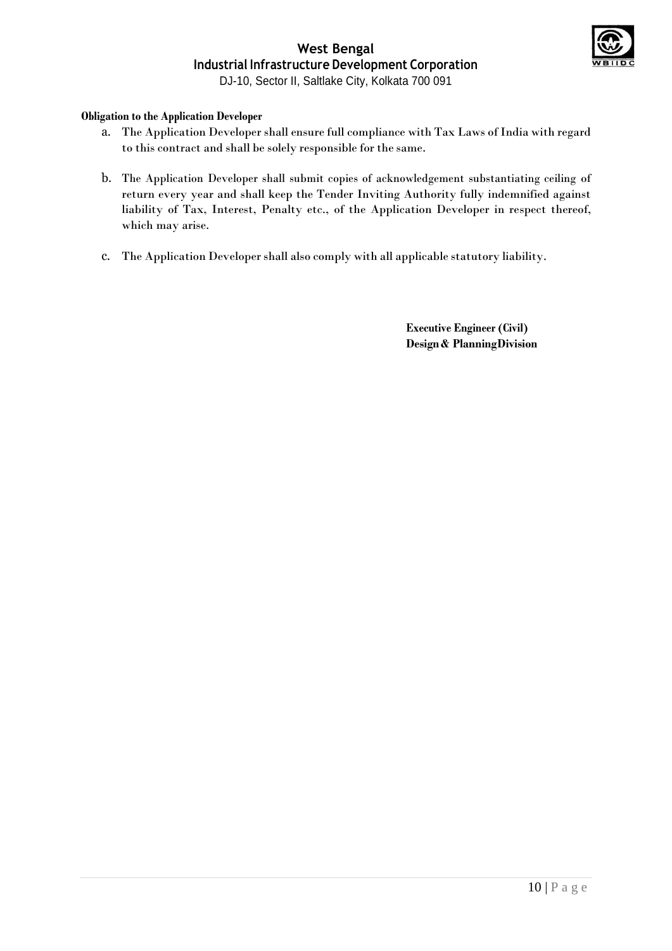

# **West Bengal Industrial Infrastructure Development Corporation** DJ-10, Sector II, Saltlake City, Kolkata 700 091

# **Obligation to the Application Developer**

- a. The Application Developer shall ensure full compliance with Tax Laws of India with regard to this contract and shall be solely responsible for the same.
- b. The Application Developer shall submit copies of acknowledgement substantiating ceiling of return every year and shall keep the Tender Inviting Authority fully indemnified against liability of Tax, Interest, Penalty etc., of the Application Developer in respect thereof, which may arise.
- c. The Application Developer shall also comply with all applicable statutory liability.

**Executive Engineer (Civil) Design & PlanningDivision**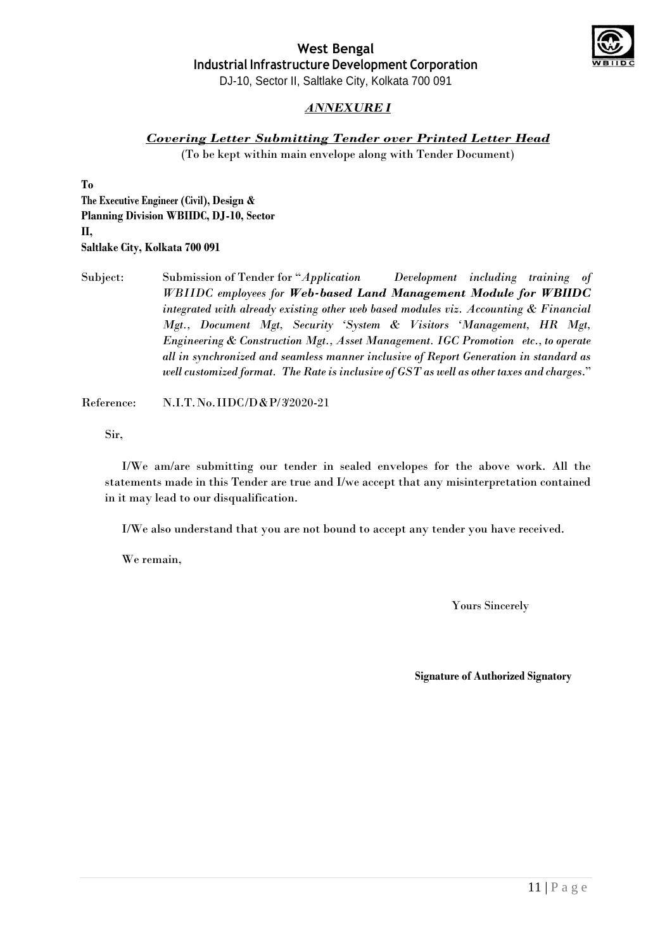

DJ-10, Sector II, Saltlake City, Kolkata 700 091

# *ANNEXURE I*

### *Covering Letter Submitting Tender over Printed Letter Head*

(To be kept within main envelope along with Tender Document)

**To**

**The Executive Engineer (Civil), Design & Planning Division WBIIDC, DJ-10, Sector II, Saltlake City, Kolkata 700 091**

Subject: Submission of Tender for "*Application Development including training of WBIIDC employees for Web-based Land Management Module for WBIIDC integrated with already existing other web based modules viz. Accounting & Financial Mgt., Document Mgt, Security 'System & Visitors 'Management, HR Mgt, Engineering & Construction Mgt., Asset Management. IGC Promotion etc., to operate all in synchronized and seamless manner inclusive of Report Generation in standard as well customized format. The Rate is inclusive of GST as well as other taxes and charges*."

Reference: N.I.T.No.IIDC/D&P/3/2020-21

Sir,

I/We am/are submitting our tender in sealed envelopes for the above work. All the statements made in this Tender are true and I/we accept that any misinterpretation contained in it may lead to our disqualification.

I/We also understand that you are not bound to accept any tender you have received.

We remain,

Yours Sincerely

**Signature of Authorized Signatory**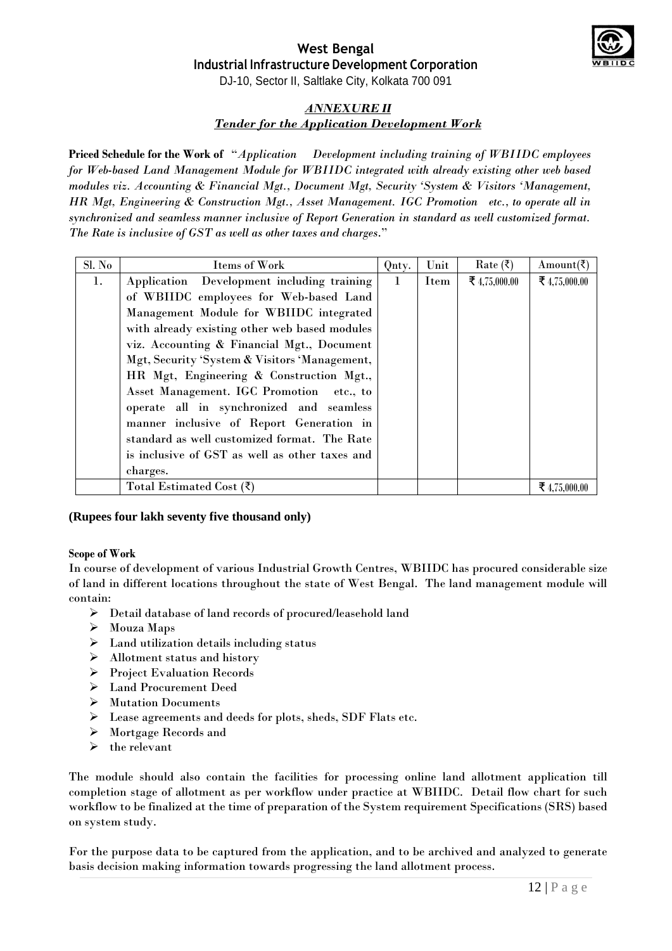#### **West Bengal Industrial Infrastructure Development Corporation** DJ-10, Sector II, Saltlake City, Kolkata 700 091

# *ANNEXURE II Tender for the Application Development Work*

**Priced Schedule for the Work of** "*Application Development including training of WBIIDC employees for Web-based Land Management Module for WBIIDC integrated with already existing other web based modules viz. Accounting & Financial Mgt., Document Mgt, Security 'System & Visitors 'Management, HR Mgt, Engineering & Construction Mgt., Asset Management. IGC Promotion etc., to operate all in synchronized and seamless manner inclusive of Report Generation in standard as well customized format. The Rate is inclusive of GST as well as other taxes and charges*."

| Sl. No | Items of Work                                  | Qnty.        | Unit | $Rate$ (₹)    | Amount( $\bar{\zeta}$ ) |
|--------|------------------------------------------------|--------------|------|---------------|-------------------------|
| 1.     | Application Development including training     | $\mathbf{1}$ | Item | ₹ 4,75,000.00 | ₹ 4,75,000.00           |
|        | of WBIIDC employees for Web-based Land         |              |      |               |                         |
|        | Management Module for WBIIDC integrated        |              |      |               |                         |
|        | with already existing other web based modules  |              |      |               |                         |
|        | viz. Accounting & Financial Mgt., Document     |              |      |               |                         |
|        | Mgt, Security 'System & Visitors 'Management,  |              |      |               |                         |
|        | HR Mgt, Engineering & Construction Mgt.,       |              |      |               |                         |
|        | Asset Management. IGC Promotion etc., to       |              |      |               |                         |
|        | operate all in synchronized and seamless       |              |      |               |                         |
|        | manner inclusive of Report Generation in       |              |      |               |                         |
|        | standard as well customized format. The Rate   |              |      |               |                         |
|        | is inclusive of GST as well as other taxes and |              |      |               |                         |
|        | charges.                                       |              |      |               |                         |
|        | Total Estimated Cost $(\bar{\zeta})$           |              |      |               | ₹4.75.000.00            |

# **(Rupees four lakh seventy five thousand only)**

# **Scope of Work**

In course of development of various Industrial Growth Centres, WBIIDC has procured considerable size of land in different locations throughout the state of West Bengal. The land management module will contain:

- $\blacktriangleright$  Detail database of land records of procured/leasehold land
- Mouza Maps
- $\triangleright$  Land utilization details including status
- $\triangleright$  Allotment status and history
- Project Evaluation Records
- Land Procurement Deed
- Mutation Documents
- Lease agreements and deeds for plots, sheds, SDF Flats etc.
- Mortgage Records and
- $\triangleright$  the relevant

The module should also contain the facilities for processing online land allotment application till completion stage of allotment as per workflow under practice at WBIIDC. Detail flow chart for such workflow to be finalized at the time of preparation of the System requirement Specifications (SRS) based on system study.

For the purpose data to be captured from the application, and to be archived and analyzed to generate basis decision making information towards progressing the land allotment process.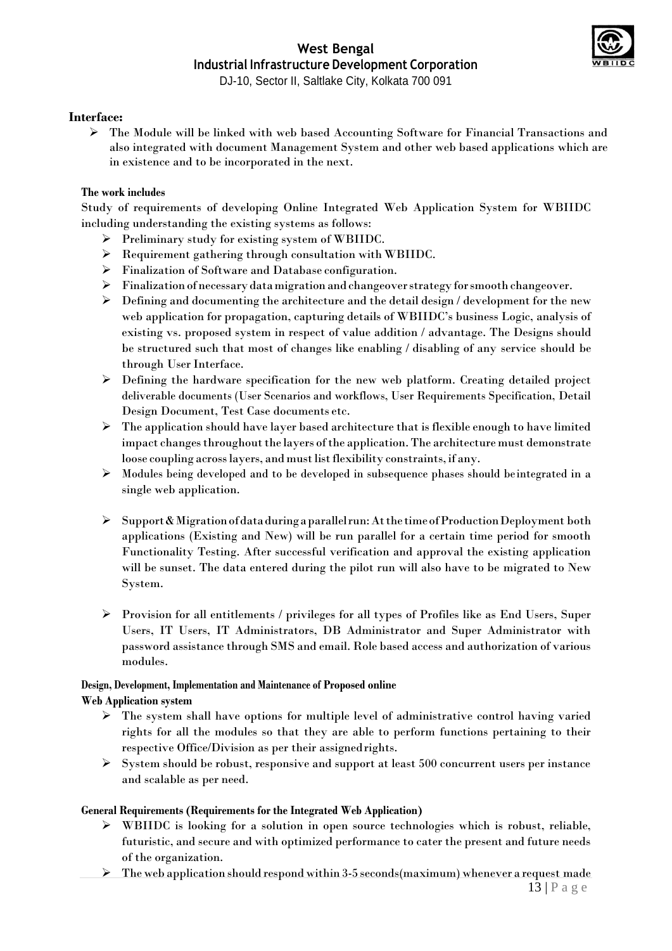

#### **Interface:**

 $\triangleright$  The Module will be linked with web based Accounting Software for Financial Transactions and also integrated with document Management System and other web based applications which are in existence and to be incorporated in the next.

#### **The work includes**

Study of requirements of developing Online Integrated Web Application System for WBIIDC including understanding the existing systems as follows:

- Preliminary study for existing system of WBIIDC.
- Requirement gathering through consultation with WBIIDC.
- Finalization of Software and Database configuration.
- Finalization ofnecessarydatamigration and changeoverstrategy forsmooth changeover.
- $\triangleright$  Defining and documenting the architecture and the detail design / development for the new web application for propagation, capturing details of WBIIDC's business Logic, analysis of existing vs. proposed system in respect of value addition / advantage. The Designs should be structured such that most of changes like enabling / disabling of any service should be through User Interface.
- $\triangleright$  Defining the hardware specification for the new web platform. Creating detailed project deliverable documents (User Scenarios and workflows, User Requirements Specification, Detail Design Document, Test Case documents etc.
- $\triangleright$  The application should have layer based architecture that is flexible enough to have limited impact changes throughout the layers of the application. The architecture must demonstrate loose coupling across layers, and must list flexibility constraints, if any.
- $\triangleright$  Modules being developed and to be developed in subsequence phases should be integrated in a single web application.
- Support&Migrationofdataduringaparallelrun:Atthe timeofProductionDeployment both applications (Existing and New) will be run parallel for a certain time period for smooth Functionality Testing. After successful verification and approval the existing application will be sunset. The data entered during the pilot run will also have to be migrated to New System.
- $\triangleright$  Provision for all entitlements / privileges for all types of Profiles like as End Users, Super Users, IT Users, IT Administrators, DB Administrator and Super Administrator with password assistance through SMS and email. Role based access and authorization of various modules.

# **Design, Development, Implementation and Maintenance of Proposed online**

#### **Web Application system**

- $\triangleright$  The system shall have options for multiple level of administrative control having varied rights for all the modules so that they are able to perform functions pertaining to their respective Office/Division as per their assignedrights.
- $\triangleright$  System should be robust, responsive and support at least 500 concurrent users per instance and scalable as per need.

#### **General Requirements (Requirements for the Integrated Web Application)**

- WBIIDC is looking for a solution in open source technologies which is robust, reliable, futuristic, and secure and with optimized performance to cater the present and future needs of the organization.
- 13 | P a g e  $\triangleright$  The web application should respond within 3-5 seconds (maximum) whenever a request made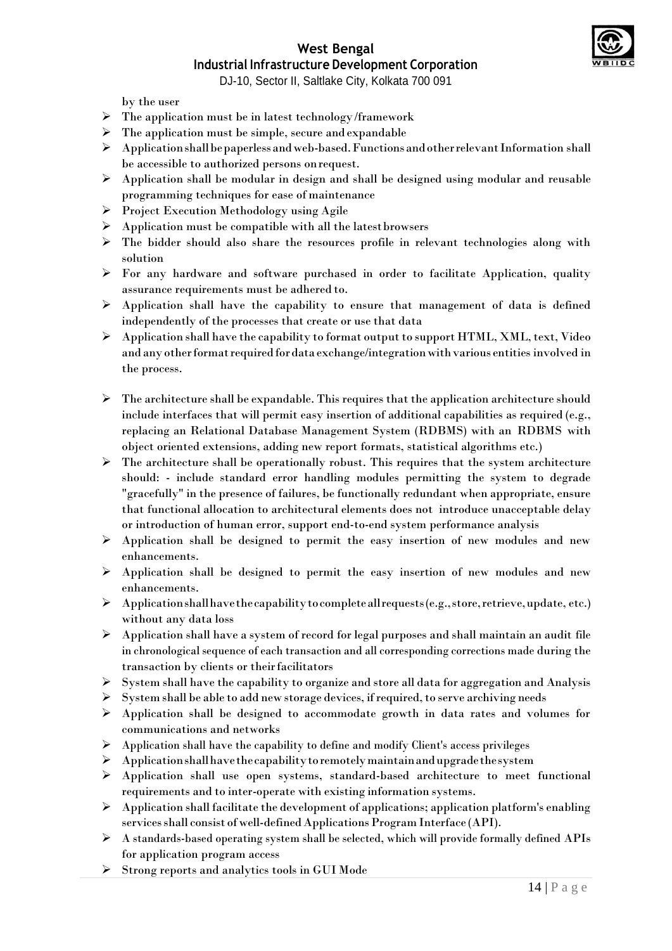

# **West Bengal**

# **Industrial Infrastructure Development Corporation**

DJ-10, Sector II, Saltlake City, Kolkata 700 091

by the user

- $\triangleright$  The application must be in latest technology/framework
- $\triangleright$  The application must be simple, secure and expandable
- $\triangleright$  Application shall be paperless and web-based. Functions and other relevant Information shall be accessible to authorized persons onrequest.
- Application shall be modular in design and shall be designed using modular and reusable programming techniques for ease of maintenance
- $\triangleright$  Project Execution Methodology using Agile
- $\triangleright$  Application must be compatible with all the latest browsers
- The bidder should also share the resources profile in relevant technologies along with solution
- $\triangleright$  For any hardware and software purchased in order to facilitate Application, quality assurance requirements must be adhered to.
- $\triangleright$  Application shall have the capability to ensure that management of data is defined independently of the processes that create or use that data
- Application shall have the capability to format output to support HTML, XML, text, Video and any other format required for data exchange/integration with various entities involved in the process.
- $\triangleright$  The architecture shall be expandable. This requires that the application architecture should include interfaces that will permit easy insertion of additional capabilities as required (e.g., replacing an Relational Database Management System (RDBMS) with an RDBMS with object oriented extensions, adding new report formats, statistical algorithms etc.)
- $\triangleright$  The architecture shall be operationally robust. This requires that the system architecture should: - include standard error handling modules permitting the system to degrade "gracefully" in the presence of failures, be functionally redundant when appropriate, ensure that functional allocation to architectural elements does not introduce unacceptable delay or introduction of human error, support end-to-end system performance analysis
- Application shall be designed to permit the easy insertion of new modules and new enhancements.
- Application shall be designed to permit the easy insertion of new modules and new enhancements.
- $\triangleright$  Applicationshall have the capability to complete all requests (e.g., store, retrieve, update, etc.) without any data loss
- $\triangleright$  Application shall have a system of record for legal purposes and shall maintain an audit file in chronological sequence of each transaction and all corresponding corrections made during the transaction by clients or theirfacilitators
- $\triangleright$  System shall have the capability to organize and store all data for aggregation and Analysis
- $\triangleright$  System shall be able to add new storage devices, if required, to serve archiving needs
- Application shall be designed to accommodate growth in data rates and volumes for communications and networks
- $\triangleright$  Application shall have the capability to define and modify Client's access privileges
- $\triangleright$  Application shall have the capability to remotely maintain and upgrade the system
- $\triangleright$  Application shall use open systems, standard-based architecture to meet functional requirements and to inter-operate with existing information systems.
- $\triangleright$  Application shall facilitate the development of applications; application platform's enabling services shall consist of well-defined Applications Program Interface (API).
- A standards-based operating system shall be selected, which will provide formally defined APIs for application program access
- $\triangleright$  Strong reports and analytics tools in GUI Mode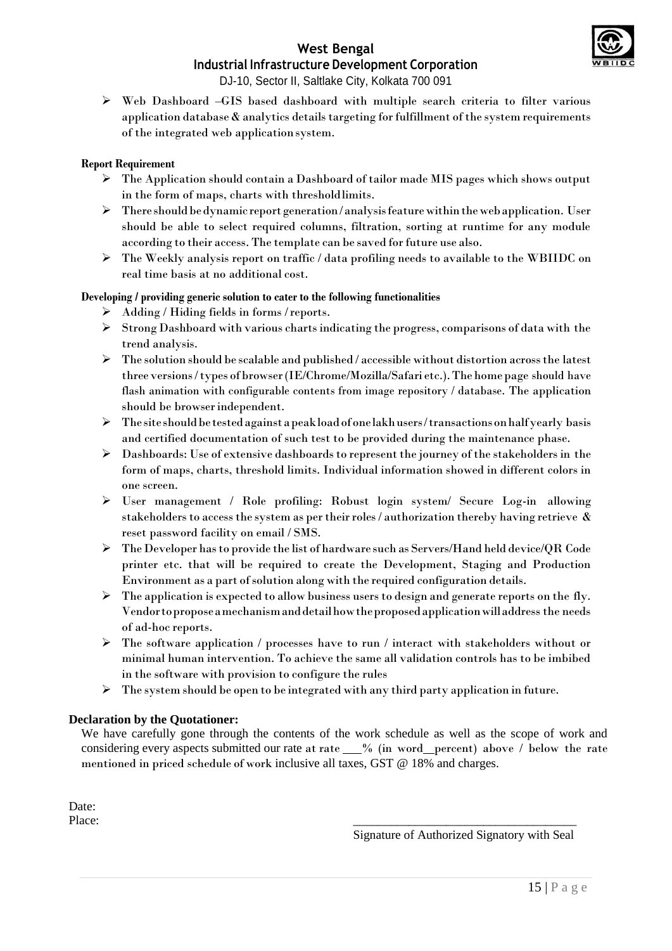

# **West Bengal**

# **Industrial Infrastructure Development Corporation**

DJ-10, Sector II, Saltlake City, Kolkata 700 091

 $\triangleright$  Web Dashboard –GIS based dashboard with multiple search criteria to filter various application database  $\&$  analytics details targeting for fulfillment of the system requirements of the integrated web applicationsystem.

#### **Report Requirement**

- The Application should contain a Dashboard of tailor made MIS pages which shows output in the form of maps, charts with thresholdlimits.
- $\triangleright$  There should be dynamic report generation/analysis feature within the web application. User should be able to select required columns, filtration, sorting at runtime for any module according to their access. The template can be saved for future use also.
- $\triangleright$  The Weekly analysis report on traffic / data profiling needs to available to the WBIIDC on real time basis at no additional cost.

#### **Developing / providing generic solution to cater to the following functionalities**

- $\triangleright$  Adding / Hiding fields in forms / reports.
- $\triangleright$  Strong Dashboard with various charts indicating the progress, comparisons of data with the trend analysis.
- $\triangleright$  The solution should be scalable and published / accessible without distortion across the latest three versions/types of browser(IE/Chrome/Mozilla/Safari etc.).The home page should have flash animation with configurable contents from image repository / database. The application should be browserindependent.
- $\triangleright$  The site should be tested against a peak load of one lakh users/transactions on half yearly basis and certified documentation of such test to be provided during the maintenance phase.
- $\triangleright$  Dashboards: Use of extensive dashboards to represent the journey of the stakeholders in the form of maps, charts, threshold limits. Individual information showed in different colors in one screen.
- User management / Role profiling: Robust login system/ Secure Log-in allowing stakeholders to access the system as per their roles / authorization thereby having retrieve  $\&$ reset password facility on email / SMS.
- $\triangleright$  The Developer has to provide the list of hardware such as Servers/Hand held device/QR Code printer etc. that will be required to create the Development, Staging and Production Environment as a part ofsolution along with the required configuration details.
- $\triangleright$  The application is expected to allow business users to design and generate reports on the fly. Vendortoproposeamechanismanddetailhowtheproposedapplicationwilladdress the needs of ad-hoc reports.
- $\triangleright$  The software application / processes have to run / interact with stakeholders without or minimal human intervention. To achieve the same all validation controls has to be imbibed in the software with provision to configure the rules
- $\triangleright$  The system should be open to be integrated with any third party application in future.

#### **Declaration by the Quotationer:**

We have carefully gone through the contents of the work schedule as well as the scope of work and considering every aspects submitted our rate at rate  $\_\_\%$  (in word percent) above / below the rate mentioned in priced schedule of work inclusive all taxes, GST @ 18% and charges.

Date: Place: 2008. The contract of the contract of the contract of the contract of the contract of the contract of the contract of the contract of the contract of the contract of the contract of the contract of the contract of t

Signature of Authorized Signatory with Seal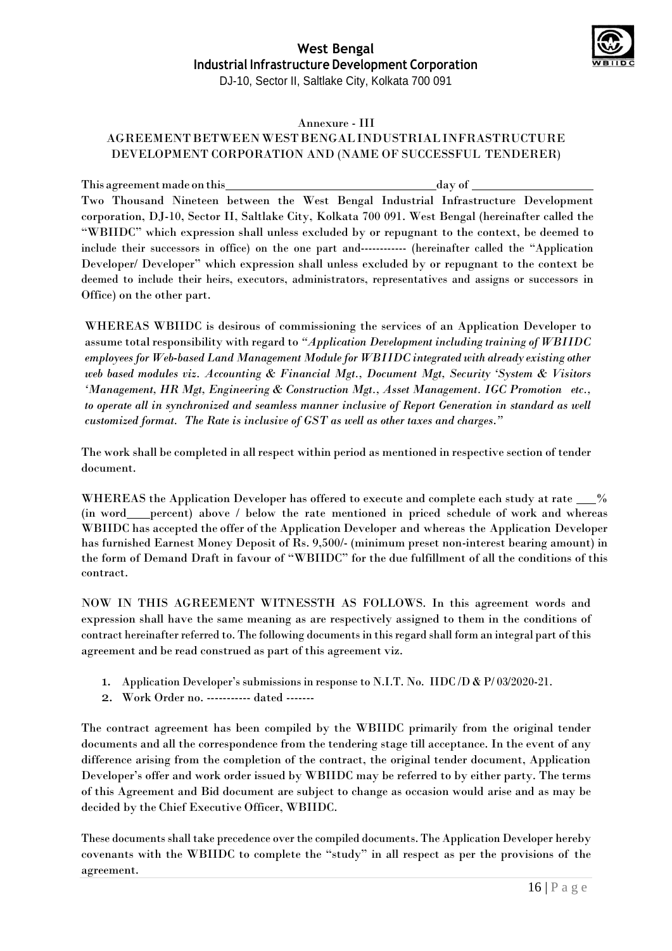

#### Annexure - III

#### AGREEMENTBETWEENWESTBENGALINDUSTRIALINFRASTRUCTURE DEVELOPMENT CORPORATION AND (NAME OF SUCCESSFUL TENDERER)

This agreementmade onthis day of Two Thousand Nineteen between the West Bengal Industrial Infrastructure Development corporation, DJ-10, Sector II, Saltlake City, Kolkata 700 091. West Bengal (hereinafter called the "WBIIDC" which expression shall unless excluded by or repugnant to the context, be deemed to include their successors in office) on the one part and------------ (hereinafter called the "Application Developer/ Developer" which expression shall unless excluded by or repugnant to the context be deemed to include their heirs, executors, administrators, representatives and assigns or successors in Office) on the other part.

WHEREAS WBIIDC is desirous of commissioning the services of an Application Developer to assume total responsibility with regard to *"Application Development including training of WBIIDC employees for Web-based Land Management Module for WBIIDC integrated with already existing other web based modules viz. Accounting & Financial Mgt., Document Mgt, Security 'System & Visitors 'Management, HR Mgt, Engineering & Construction Mgt., Asset Management. IGC Promotion etc., to operate all in synchronized and seamless manner inclusive of Report Generation in standard as well customized format. The Rate is inclusive of GST as well as other taxes and charges*.*"*

The work shall be completed in allrespect within period as mentioned in respective section of tender document.

WHEREAS the Application Developer has offered to execute and complete each study at rate  $\_\_\%$ (in word percent) above / below the rate mentioned in priced schedule of work and whereas WBIIDC has accepted the offer of the Application Developer and whereas the Application Developer has furnished Earnest Money Deposit of Rs. 9,500/- (minimum preset non-interest bearing amount) in the form of Demand Draft in favour of "WBIIDC" for the due fulfillment of all the conditions of this contract.

NOW IN THIS AGREEMENT WITNESSTH AS FOLLOWS. In this agreement words and expression shall have the same meaning as are respectively assigned to them in the conditions of contract hereinafter referred to. The following documents in this regard shall form an integral part of this agreement and be read construed as part of this agreement viz.

- 1. Application Developer's submissions in response to N.I.T. No. IIDC /D & P/ 03/2020-21.
- 2. Work Order no. ----------- dated -------

The contract agreement has been compiled by the WBIIDC primarily from the original tender documents and all the correspondence from the tendering stage till acceptance. In the event of any difference arising from the completion of the contract, the original tender document, Application Developer's offer and work order issued by WBIIDC may be referred to by either party. The terms of this Agreement and Bid document are subject to change as occasion would arise and as may be decided by the Chief Executive Officer, WBIIDC.

These documents shall take precedence over the compiled documents. The Application Developer hereby covenants with the WBIIDC to complete the "study" in all respect as per the provisions of the agreement.